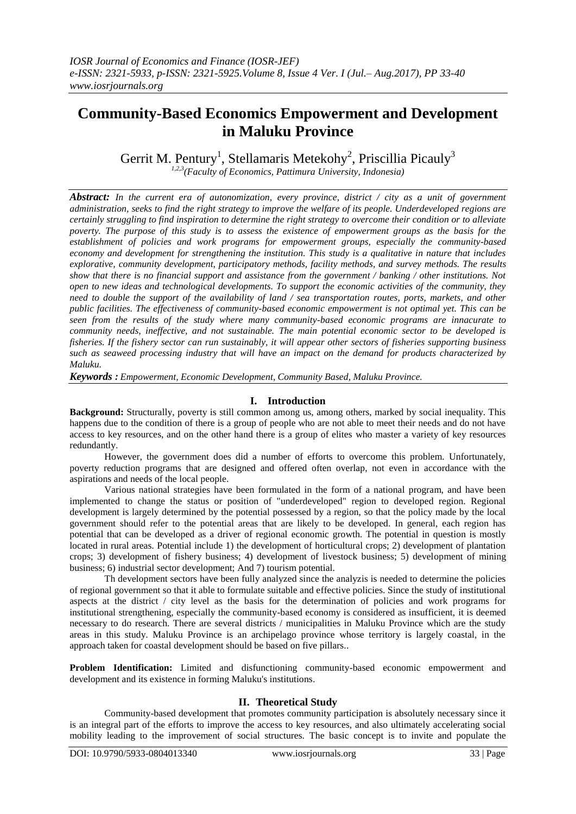# **Community-Based Economics Empowerment and Development in Maluku Province**

Gerrit M. Pentury<sup>1</sup>, Stellamaris Metekohy<sup>2</sup>, Priscillia Picauly<sup>3</sup>

*1,2,3(Faculty of Economics, Pattimura University, Indonesia)*

*Abstract: In the current era of autonomization, every province, district / city as a unit of government administration, seeks to find the right strategy to improve the welfare of its people. Underdeveloped regions are certainly struggling to find inspiration to determine the right strategy to overcome their condition or to alleviate poverty. The purpose of this study is to assess the existence of empowerment groups as the basis for the establishment of policies and work programs for empowerment groups, especially the community-based economy and development for strengthening the institution. This study is a qualitative in nature that includes explorative, community development, participatory methods, facility methods, and survey methods. The results show that there is no financial support and assistance from the government / banking / other institutions. Not open to new ideas and technological developments. To support the economic activities of the community, they need to double the support of the availability of land / sea transportation routes, ports, markets, and other public facilities. The effectiveness of community-based economic empowerment is not optimal yet. This can be seen from the results of the study where many community-based economic programs are innacurate to community needs, ineffective, and not sustainable. The main potential economic sector to be developed is fisheries. If the fishery sector can run sustainably, it will appear other sectors of fisheries supporting business such as seaweed processing industry that will have an impact on the demand for products characterized by Maluku.*

*Keywords : Empowerment, Economic Development, Community Based, Maluku Province.* 

# **I. Introduction**

**Background:** Structurally, poverty is still common among us, among others, marked by social inequality. This happens due to the condition of there is a group of people who are not able to meet their needs and do not have access to key resources, and on the other hand there is a group of elites who master a variety of key resources redundantly.

However, the government does did a number of efforts to overcome this problem. Unfortunately, poverty reduction programs that are designed and offered often overlap, not even in accordance with the aspirations and needs of the local people.

Various national strategies have been formulated in the form of a national program, and have been implemented to change the status or position of "underdeveloped" region to developed region. Regional development is largely determined by the potential possessed by a region, so that the policy made by the local government should refer to the potential areas that are likely to be developed. In general, each region has potential that can be developed as a driver of regional economic growth. The potential in question is mostly located in rural areas. Potential include 1) the development of horticultural crops; 2) development of plantation crops; 3) development of fishery business; 4) development of livestock business; 5) development of mining business; 6) industrial sector development; And 7) tourism potential.

Th development sectors have been fully analyzed since the analyzis is needed to determine the policies of regional government so that it able to formulate suitable and effective policies. Since the study of institutional aspects at the district / city level as the basis for the determination of policies and work programs for institutional strengthening, especially the community-based economy is considered as insufficient, it is deemed necessary to do research. There are several districts / municipalities in Maluku Province which are the study areas in this study. Maluku Province is an archipelago province whose territory is largely coastal, in the approach taken for coastal development should be based on five pillars..

**Problem Identification:** Limited and disfunctioning community-based economic empowerment and development and its existence in forming Maluku's institutions.

# **II. Theoretical Study**

Community-based development that promotes community participation is absolutely necessary since it is an integral part of the efforts to improve the access to key resources, and also ultimately accelerating social mobility leading to the improvement of social structures. The basic concept is to invite and populate the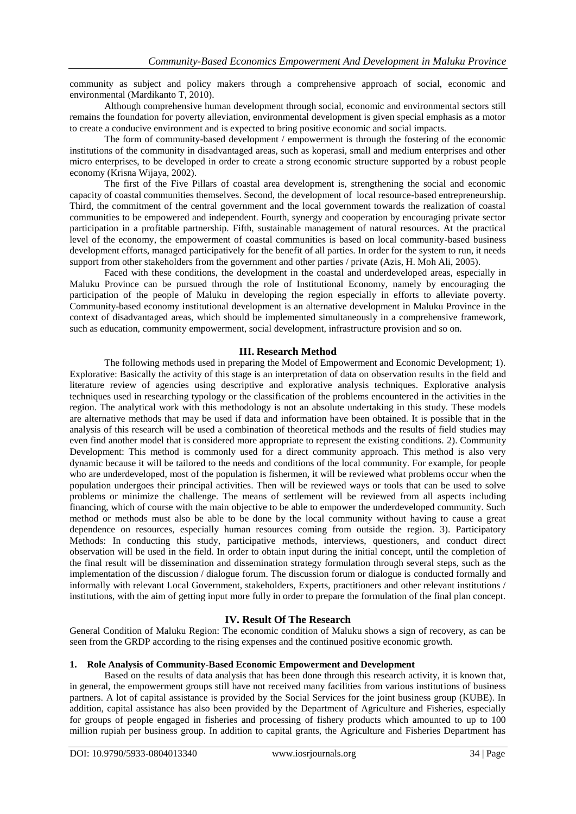community as subject and policy makers through a comprehensive approach of social, economic and environmental (Mardikanto T, 2010).

Although comprehensive human development through social, economic and environmental sectors still remains the foundation for poverty alleviation, environmental development is given special emphasis as a motor to create a conducive environment and is expected to bring positive economic and social impacts.

The form of community-based development / empowerment is through the fostering of the economic institutions of the community in disadvantaged areas, such as koperasi, small and medium enterprises and other micro enterprises, to be developed in order to create a strong economic structure supported by a robust people economy (Krisna Wijaya, 2002).

The first of the Five Pillars of coastal area development is, strengthening the social and economic capacity of coastal communities themselves. Second, the development of local resource-based entrepreneurship. Third, the commitment of the central government and the local government towards the realization of coastal communities to be empowered and independent. Fourth, synergy and cooperation by encouraging private sector participation in a profitable partnership. Fifth, sustainable management of natural resources. At the practical level of the economy, the empowerment of coastal communities is based on local community-based business development efforts, managed participatively for the benefit of all parties. In order for the system to run, it needs support from other stakeholders from the government and other parties / private (Azis, H. Moh Ali, 2005).

Faced with these conditions, the development in the coastal and underdeveloped areas, especially in Maluku Province can be pursued through the role of Institutional Economy, namely by encouraging the participation of the people of Maluku in developing the region especially in efforts to alleviate poverty. Community-based economy institutional development is an alternative development in Maluku Province in the context of disadvantaged areas, which should be implemented simultaneously in a comprehensive framework, such as education, community empowerment, social development, infrastructure provision and so on.

#### **III. Research Method**

The following methods used in preparing the Model of Empowerment and Economic Development; 1). Explorative: Basically the activity of this stage is an interpretation of data on observation results in the field and literature review of agencies using descriptive and explorative analysis techniques. Explorative analysis techniques used in researching typology or the classification of the problems encountered in the activities in the region. The analytical work with this methodology is not an absolute undertaking in this study. These models are alternative methods that may be used if data and information have been obtained. It is possible that in the analysis of this research will be used a combination of theoretical methods and the results of field studies may even find another model that is considered more appropriate to represent the existing conditions. 2). Community Development: This method is commonly used for a direct community approach. This method is also very dynamic because it will be tailored to the needs and conditions of the local community. For example, for people who are underdeveloped, most of the population is fishermen, it will be reviewed what problems occur when the population undergoes their principal activities. Then will be reviewed ways or tools that can be used to solve problems or minimize the challenge. The means of settlement will be reviewed from all aspects including financing, which of course with the main objective to be able to empower the underdeveloped community. Such method or methods must also be able to be done by the local community without having to cause a great dependence on resources, especially human resources coming from outside the region. 3). Participatory Methods: In conducting this study, participative methods, interviews, questioners, and conduct direct observation will be used in the field. In order to obtain input during the initial concept, until the completion of the final result will be dissemination and dissemination strategy formulation through several steps, such as the implementation of the discussion / dialogue forum. The discussion forum or dialogue is conducted formally and informally with relevant Local Government, stakeholders, Experts, practitioners and other relevant institutions / institutions, with the aim of getting input more fully in order to prepare the formulation of the final plan concept.

# **IV. Result Of The Research**

General Condition of Maluku Region: The economic condition of Maluku shows a sign of recovery, as can be seen from the GRDP according to the rising expenses and the continued positive economic growth.

# **1. Role Analysis of Community-Based Economic Empowerment and Development**

Based on the results of data analysis that has been done through this research activity, it is known that, in general, the empowerment groups still have not received many facilities from various institutions of business partners. A lot of capital assistance is provided by the Social Services for the joint business group (KUBE). In addition, capital assistance has also been provided by the Department of Agriculture and Fisheries, especially for groups of people engaged in fisheries and processing of fishery products which amounted to up to 100 million rupiah per business group. In addition to capital grants, the Agriculture and Fisheries Department has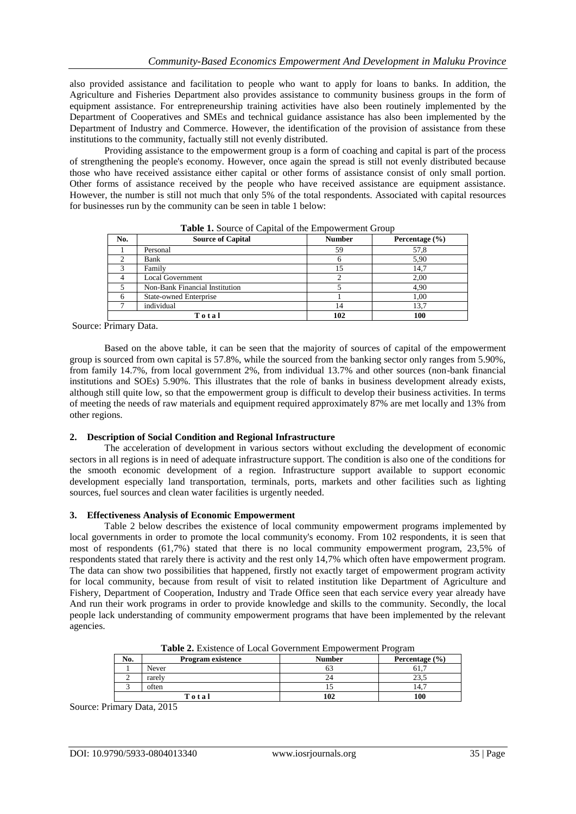also provided assistance and facilitation to people who want to apply for loans to banks. In addition, the Agriculture and Fisheries Department also provides assistance to community business groups in the form of equipment assistance. For entrepreneurship training activities have also been routinely implemented by the Department of Cooperatives and SMEs and technical guidance assistance has also been implemented by the Department of Industry and Commerce. However, the identification of the provision of assistance from these institutions to the community, factually still not evenly distributed.

Providing assistance to the empowerment group is a form of coaching and capital is part of the process of strengthening the people's economy. However, once again the spread is still not evenly distributed because those who have received assistance either capital or other forms of assistance consist of only small portion. Other forms of assistance received by the people who have received assistance are equipment assistance. However, the number is still not much that only 5% of the total respondents. Associated with capital resources for businesses run by the community can be seen in table 1 below:

| No.   | <b>Source of Capital</b>       | <b>Number</b> | Percentage $(\% )$ |
|-------|--------------------------------|---------------|--------------------|
|       | Personal                       | 59            | 57,8               |
|       | Bank                           |               | 5,90               |
|       | Family                         | 15            | 14,7               |
|       | <b>Local Government</b>        |               | 2.00               |
|       | Non-Bank Financial Institution |               | 4,90               |
|       | <b>State-owned Enterprise</b>  |               | 1,00               |
|       | individual                     | 14            | 13,7               |
| Total |                                | 102           | 100                |

**Table 1.** Source of Capital of the Empowerment Group

Source: Primary Data.

Based on the above table, it can be seen that the majority of sources of capital of the empowerment group is sourced from own capital is 57.8%, while the sourced from the banking sector only ranges from 5.90%, from family 14.7%, from local government 2%, from individual 13.7% and other sources (non-bank financial institutions and SOEs) 5.90%. This illustrates that the role of banks in business development already exists, although still quite low, so that the empowerment group is difficult to develop their business activities. In terms of meeting the needs of raw materials and equipment required approximately 87% are met locally and 13% from other regions.

#### **2. Description of Social Condition and Regional Infrastructure**

The acceleration of development in various sectors without excluding the development of economic sectors in all regions is in need of adequate infrastructure support. The condition is also one of the conditions for the smooth economic development of a region. Infrastructure support available to support economic development especially land transportation, terminals, ports, markets and other facilities such as lighting sources, fuel sources and clean water facilities is urgently needed.

#### **3. Effectiveness Analysis of Economic Empowerment**

Table 2 below describes the existence of local community empowerment programs implemented by local governments in order to promote the local community's economy. From 102 respondents, it is seen that most of respondents (61,7%) stated that there is no local community empowerment program, 23,5% of respondents stated that rarely there is activity and the rest only 14,7% which often have empowerment program. The data can show two possibilities that happened, firstly not exactly target of empowerment program activity for local community, because from result of visit to related institution like Department of Agriculture and Fishery, Department of Cooperation, Industry and Trade Office seen that each service every year already have And run their work programs in order to provide knowledge and skills to the community. Secondly, the local people lack understanding of community empowerment programs that have been implemented by the relevant agencies.

| <b>Table 2.</b> Existence of Local Government Empowerment Program |                          |               |                    |  |  |  |
|-------------------------------------------------------------------|--------------------------|---------------|--------------------|--|--|--|
| No.                                                               | <b>Program existence</b> | <b>Number</b> | Percentage $(\% )$ |  |  |  |
|                                                                   | Never                    |               |                    |  |  |  |
|                                                                   | rarely                   |               |                    |  |  |  |
|                                                                   | often                    |               |                    |  |  |  |
| Total                                                             |                          | 102           | 100                |  |  |  |

**Table 2.** Existence of Local Government Empowerment Program

Source: Primary Data, 2015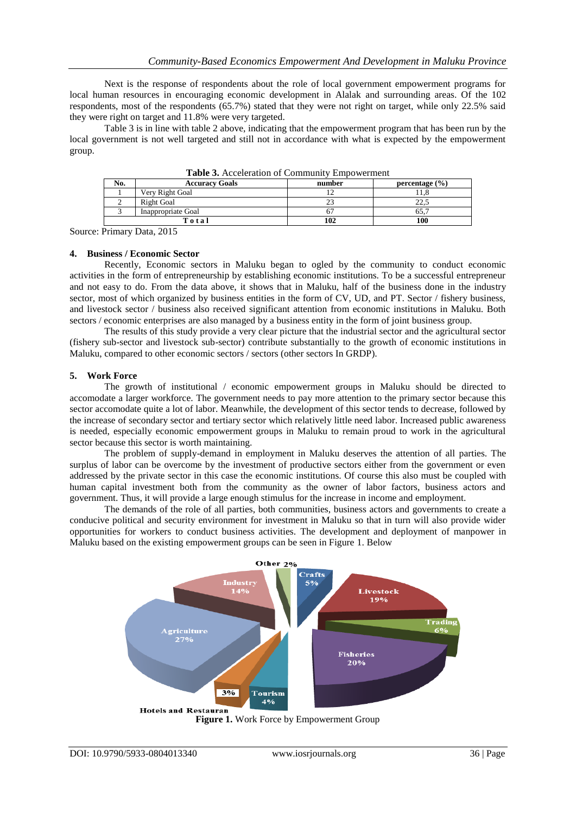Next is the response of respondents about the role of local government empowerment programs for local human resources in encouraging economic development in Alalak and surrounding areas. Of the 102 respondents, most of the respondents (65.7%) stated that they were not right on target, while only 22.5% said they were right on target and 11.8% were very targeted.

Table 3 is in line with table 2 above, indicating that the empowerment program that has been run by the local government is not well targeted and still not in accordance with what is expected by the empowerment group.

| No.   | <b>Accuracy Goals</b> | number | percentage $(\% )$ |  |  |  |  |
|-------|-----------------------|--------|--------------------|--|--|--|--|
|       | Very Right Goal       | ∸      |                    |  |  |  |  |
|       | Right Goal            | 23     | nn.<br>ے وگ کے     |  |  |  |  |
|       | Inappropriate Goal    | D.     | 65.                |  |  |  |  |
| Total |                       | 102    | 100                |  |  |  |  |

**Table 3.** Acceleration of Community Empowerment

Source: Primary Data, 2015

#### **4. Business / Economic Sector**

Recently, Economic sectors in Maluku began to ogled by the community to conduct economic activities in the form of entrepreneurship by establishing economic institutions. To be a successful entrepreneur and not easy to do. From the data above, it shows that in Maluku, half of the business done in the industry sector, most of which organized by business entities in the form of CV, UD, and PT. Sector / fishery business, and livestock sector / business also received significant attention from economic institutions in Maluku. Both sectors / economic enterprises are also managed by a business entity in the form of joint business group.

The results of this study provide a very clear picture that the industrial sector and the agricultural sector (fishery sub-sector and livestock sub-sector) contribute substantially to the growth of economic institutions in Maluku, compared to other economic sectors / sectors (other sectors In GRDP).

#### **5. Work Force**

The growth of institutional / economic empowerment groups in Maluku should be directed to accomodate a larger workforce. The government needs to pay more attention to the primary sector because this sector accomodate quite a lot of labor. Meanwhile, the development of this sector tends to decrease, followed by the increase of secondary sector and tertiary sector which relatively little need labor. Increased public awareness is needed, especially economic empowerment groups in Maluku to remain proud to work in the agricultural sector because this sector is worth maintaining.

The problem of supply-demand in employment in Maluku deserves the attention of all parties. The surplus of labor can be overcome by the investment of productive sectors either from the government or even addressed by the private sector in this case the economic institutions. Of course this also must be coupled with human capital investment both from the community as the owner of labor factors, business actors and government. Thus, it will provide a large enough stimulus for the increase in income and employment.

The demands of the role of all parties, both communities, business actors and governments to create a conducive political and security environment for investment in Maluku so that in turn will also provide wider opportunities for workers to conduct business activities. The development and deployment of manpower in Maluku based on the existing empowerment groups can be seen in Figure 1. Below



**Figure 1.** Work Force by Empowerment Group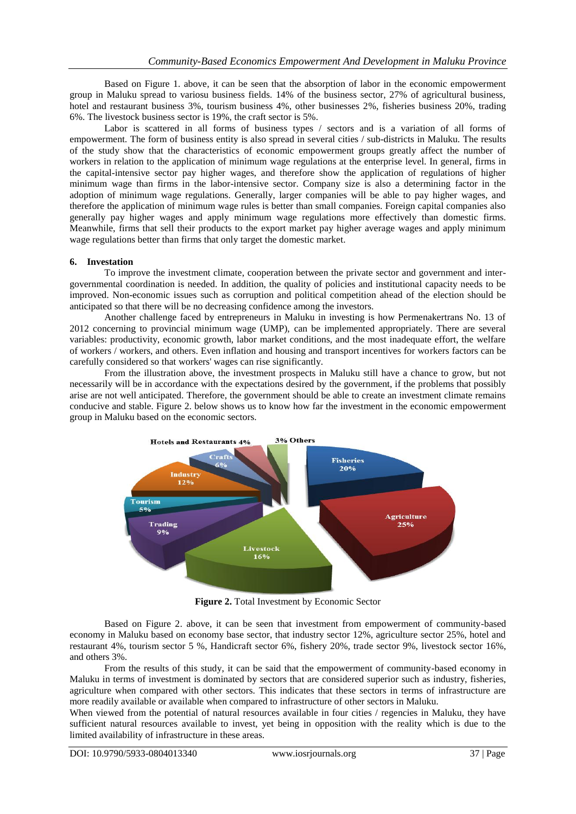Based on Figure 1. above, it can be seen that the absorption of labor in the economic empowerment group in Maluku spread to variosu business fields. 14% of the business sector, 27% of agricultural business, hotel and restaurant business 3%, tourism business 4%, other businesses 2%, fisheries business 20%, trading 6%. The livestock business sector is 19%, the craft sector is 5%.

Labor is scattered in all forms of business types / sectors and is a variation of all forms of empowerment. The form of business entity is also spread in several cities / sub-districts in Maluku. The results of the study show that the characteristics of economic empowerment groups greatly affect the number of workers in relation to the application of minimum wage regulations at the enterprise level. In general, firms in the capital-intensive sector pay higher wages, and therefore show the application of regulations of higher minimum wage than firms in the labor-intensive sector. Company size is also a determining factor in the adoption of minimum wage regulations. Generally, larger companies will be able to pay higher wages, and therefore the application of minimum wage rules is better than small companies. Foreign capital companies also generally pay higher wages and apply minimum wage regulations more effectively than domestic firms. Meanwhile, firms that sell their products to the export market pay higher average wages and apply minimum wage regulations better than firms that only target the domestic market.

# **6. Investation**

To improve the investment climate, cooperation between the private sector and government and intergovernmental coordination is needed. In addition, the quality of policies and institutional capacity needs to be improved. Non-economic issues such as corruption and political competition ahead of the election should be anticipated so that there will be no decreasing confidence among the investors.

Another challenge faced by entrepreneurs in Maluku in investing is how Permenakertrans No. 13 of 2012 concerning to provincial minimum wage (UMP), can be implemented appropriately. There are several variables: productivity, economic growth, labor market conditions, and the most inadequate effort, the welfare of workers / workers, and others. Even inflation and housing and transport incentives for workers factors can be carefully considered so that workers' wages can rise significantly.

From the illustration above, the investment prospects in Maluku still have a chance to grow, but not necessarily will be in accordance with the expectations desired by the government, if the problems that possibly arise are not well anticipated. Therefore, the government should be able to create an investment climate remains conducive and stable. Figure 2. below shows us to know how far the investment in the economic empowerment group in Maluku based on the economic sectors.



**Figure 2.** Total Investment by Economic Sector

Based on Figure 2. above, it can be seen that investment from empowerment of community-based economy in Maluku based on economy base sector, that industry sector 12%, agriculture sector 25%, hotel and restaurant 4%, tourism sector 5 %, Handicraft sector 6%, fishery 20%, trade sector 9%, livestock sector 16%, and others 3%.

From the results of this study, it can be said that the empowerment of community-based economy in Maluku in terms of investment is dominated by sectors that are considered superior such as industry, fisheries, agriculture when compared with other sectors. This indicates that these sectors in terms of infrastructure are more readily available or available when compared to infrastructure of other sectors in Maluku.

When viewed from the potential of natural resources available in four cities / regencies in Maluku, they have sufficient natural resources available to invest, yet being in opposition with the reality which is due to the limited availability of infrastructure in these areas.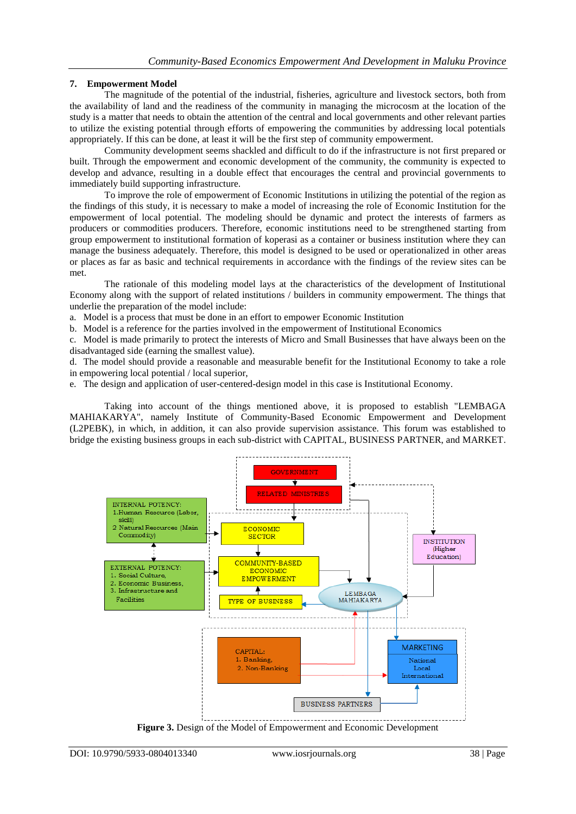# **7. Empowerment Model**

The magnitude of the potential of the industrial, fisheries, agriculture and livestock sectors, both from the availability of land and the readiness of the community in managing the microcosm at the location of the study is a matter that needs to obtain the attention of the central and local governments and other relevant parties to utilize the existing potential through efforts of empowering the communities by addressing local potentials appropriately. If this can be done, at least it will be the first step of community empowerment.

Community development seems shackled and difficult to do if the infrastructure is not first prepared or built. Through the empowerment and economic development of the community, the community is expected to develop and advance, resulting in a double effect that encourages the central and provincial governments to immediately build supporting infrastructure.

To improve the role of empowerment of Economic Institutions in utilizing the potential of the region as the findings of this study, it is necessary to make a model of increasing the role of Economic Institution for the empowerment of local potential. The modeling should be dynamic and protect the interests of farmers as producers or commodities producers. Therefore, economic institutions need to be strengthened starting from group empowerment to institutional formation of koperasi as a container or business institution where they can manage the business adequately. Therefore, this model is designed to be used or operationalized in other areas or places as far as basic and technical requirements in accordance with the findings of the review sites can be met.

The rationale of this modeling model lays at the characteristics of the development of Institutional Economy along with the support of related institutions / builders in community empowerment. The things that underlie the preparation of the model include:

a. Model is a process that must be done in an effort to empower Economic Institution

b. Model is a reference for the parties involved in the empowerment of Institutional Economics

c. Model is made primarily to protect the interests of Micro and Small Businesses that have always been on the disadvantaged side (earning the smallest value).

d. The model should provide a reasonable and measurable benefit for the Institutional Economy to take a role in empowering local potential / local superior,

e. The design and application of user-centered-design model in this case is Institutional Economy.

Taking into account of the things mentioned above, it is proposed to establish "LEMBAGA MAHIAKARYA", namely Institute of Community-Based Economic Empowerment and Development (L2PEBK), in which, in addition, it can also provide supervision assistance. This forum was established to bridge the existing business groups in each sub-district with CAPITAL, BUSINESS PARTNER, and MARKET.



**Figure 3.** Design of the Model of Empowerment and Economic Development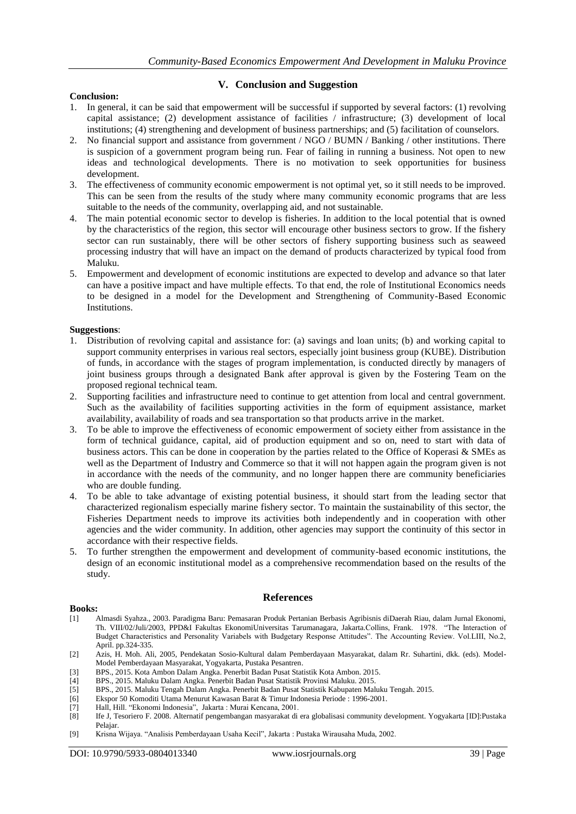# **Conclusion:**

# **V. Conclusion and Suggestion**

- 1. In general, it can be said that empowerment will be successful if supported by several factors: (1) revolving capital assistance; (2) development assistance of facilities / infrastructure; (3) development of local institutions; (4) strengthening and development of business partnerships; and (5) facilitation of counselors.
- 2. No financial support and assistance from government / NGO / BUMN / Banking / other institutions. There is suspicion of a government program being run. Fear of failing in running a business. Not open to new ideas and technological developments. There is no motivation to seek opportunities for business development.
- 3. The effectiveness of community economic empowerment is not optimal yet, so it still needs to be improved. This can be seen from the results of the study where many community economic programs that are less suitable to the needs of the community, overlapping aid, and not sustainable.
- 4. The main potential economic sector to develop is fisheries. In addition to the local potential that is owned by the characteristics of the region, this sector will encourage other business sectors to grow. If the fishery sector can run sustainably, there will be other sectors of fishery supporting business such as seaweed processing industry that will have an impact on the demand of products characterized by typical food from Maluku.
- 5. Empowerment and development of economic institutions are expected to develop and advance so that later can have a positive impact and have multiple effects. To that end, the role of Institutional Economics needs to be designed in a model for the Development and Strengthening of Community-Based Economic Institutions.

#### **Suggestions**:

- 1. Distribution of revolving capital and assistance for: (a) savings and loan units; (b) and working capital to support community enterprises in various real sectors, especially joint business group (KUBE). Distribution of funds, in accordance with the stages of program implementation, is conducted directly by managers of joint business groups through a designated Bank after approval is given by the Fostering Team on the proposed regional technical team.
- 2. Supporting facilities and infrastructure need to continue to get attention from local and central government. Such as the availability of facilities supporting activities in the form of equipment assistance, market availability, availability of roads and sea transportation so that products arrive in the market.
- 3. To be able to improve the effectiveness of economic empowerment of society either from assistance in the form of technical guidance, capital, aid of production equipment and so on, need to start with data of business actors. This can be done in cooperation by the parties related to the Office of Koperasi & SMEs as well as the Department of Industry and Commerce so that it will not happen again the program given is not in accordance with the needs of the community, and no longer happen there are community beneficiaries who are double funding.
- 4. To be able to take advantage of existing potential business, it should start from the leading sector that characterized regionalism especially marine fishery sector. To maintain the sustainability of this sector, the Fisheries Department needs to improve its activities both independently and in cooperation with other agencies and the wider community. In addition, other agencies may support the continuity of this sector in accordance with their respective fields.
- 5. To further strengthen the empowerment and development of community-based economic institutions, the design of an economic institutional model as a comprehensive recommendation based on the results of the study.

# **References**

# **Books:**<br>[1]

- [1] Almasdi Syahza., 2003. Paradigma Baru: Pemasaran Produk Pertanian Berbasis Agribisnis diDaerah Riau, dalam Jurnal Ekonomi, Th. VIII/02/Juli/2003, PPD&I Fakultas EkonomiUniversitas Tarumanagara, Jakarta.Collins, Frank. 1978. "The Interaction of Budget Characteristics and Personality Variabels with Budgetary Response Attitudes". The Accounting Review. Vol.LIII, No.2, April. pp.324-335.
- [2] Azis, H. Moh. Ali, 2005, Pendekatan Sosio-Kultural dalam Pemberdayaan Masyarakat, dalam Rr. Suhartini, dkk. (eds). Model-Model Pemberdayaan Masyarakat, Yogyakarta, Pustaka Pesantren.
- [3] BPS., 2015. Kota Ambon Dalam Angka. Penerbit Badan Pusat Statistik Kota Ambon. 2015.
- [4] BPS., 2015. Maluku Dalam Angka. Penerbit Badan Pusat Statistik Provinsi Maluku. 2015.
- [5] BPS., 2015. Maluku Tengah Dalam Angka. Penerbit Badan Pusat Statistik Kabupaten Maluku Tengah. 2015.
- [6] Ekspor 50 Komoditi Utama Menurut Kawasan Barat & Timur Indonesia Periode : 1996-2001.
- [7] Hall, Hill. "Ekonomi Indonesia", Jakarta : Murai Kencana, 2001.
- [8] Ife J, Tesoriero F. 2008. Alternatif pengembangan masyarakat di era globalisasi community development. Yogyakarta [ID]:Pustaka Pelajar.
- [9] Krisna Wijaya. "Analisis Pemberdayaan Usaha Kecil", Jakarta : Pustaka Wirausaha Muda, 2002.